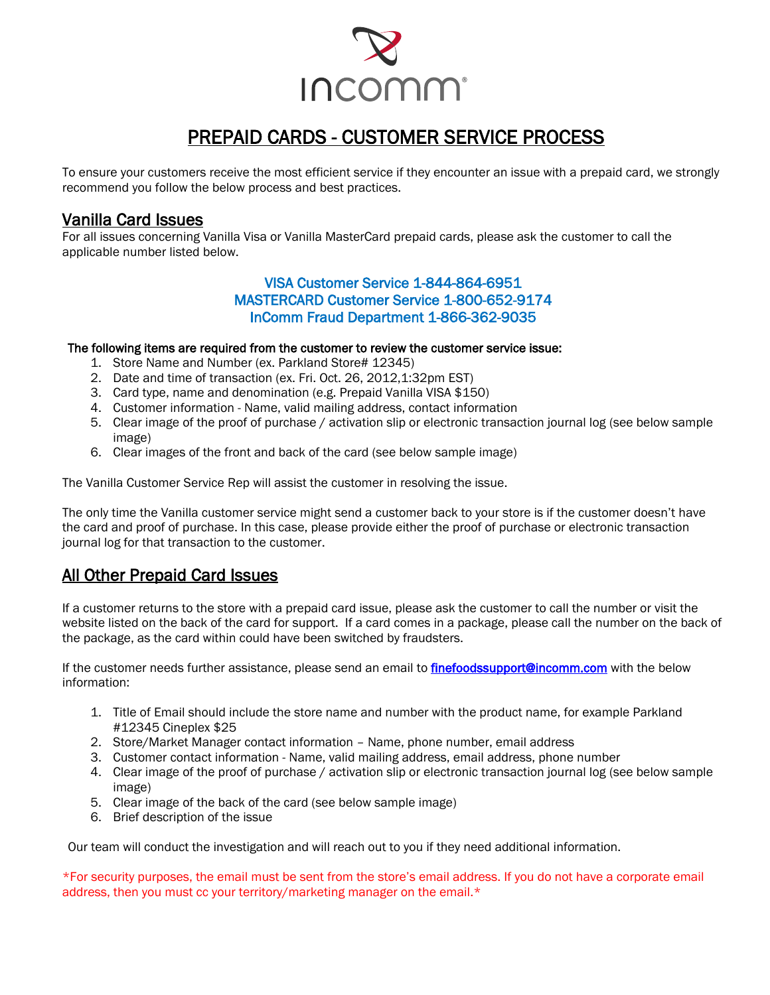

# PREPAID CARDS - CUSTOMER SERVICE PROCESS

To ensure your customers receive the most efficient service if they encounter an issue with a prepaid card, we strongly recommend you follow the below process and best practices.

## Vanilla Card Issues

For all issues concerning Vanilla Visa or Vanilla MasterCard prepaid cards, please ask the customer to call the applicable number listed below.

### VISA Customer Service 1-844-864-6951 MASTERCARD Customer Service 1-800-652-9174 InComm Fraud Department 1-866-362-9035

#### The following items are required from the customer to review the customer service issue:

- 1. Store Name and Number (ex. Parkland Store# 12345)
- 2. Date and time of transaction (ex. Fri. Oct. 26, 2012,1:32pm EST)
- 3. Card type, name and denomination (e.g. Prepaid Vanilla VISA \$150)
- 4. Customer information Name, valid mailing address, contact information
- 5. Clear image of the proof of purchase / activation slip or electronic transaction journal log (see below sample image)
- 6. Clear images of the front and back of the card (see below sample image)

The Vanilla Customer Service Rep will assist the customer in resolving the issue.

The only time the Vanilla customer service might send a customer back to your store is if the customer doesn't have the card and proof of purchase. In this case, please provide either the proof of purchase or electronic transaction journal log for that transaction to the customer.

## All Other Prepaid Card Issues

If a customer returns to the store with a prepaid card issue, please ask the customer to call the number or visit the website listed on the back of the card for support. If a card comes in a package, please call the number on the back of the package, as the card within could have been switched by fraudsters.

If the customer needs further assistance, please send an email to *[finefoodssupport@incomm.com](mailto:finefoodssupport@incomm.com)* with the below information:

- 1. Title of Email should include the store name and number with the product name, for example Parkland #12345 Cineplex \$25
- 2. Store/Market Manager contact information Name, phone number, email address
- 3. Customer contact information Name, valid mailing address, email address, phone number
- 4. Clear image of the proof of purchase / activation slip or electronic transaction journal log (see below sample image)
- 5. Clear image of the back of the card (see below sample image)
- 6. Brief description of the issue

Our team will conduct the investigation and will reach out to you if they need additional information.

\*For security purposes, the email must be sent from the store's email address. If you do not have a corporate email address, then you must cc your territory/marketing manager on the email.\*